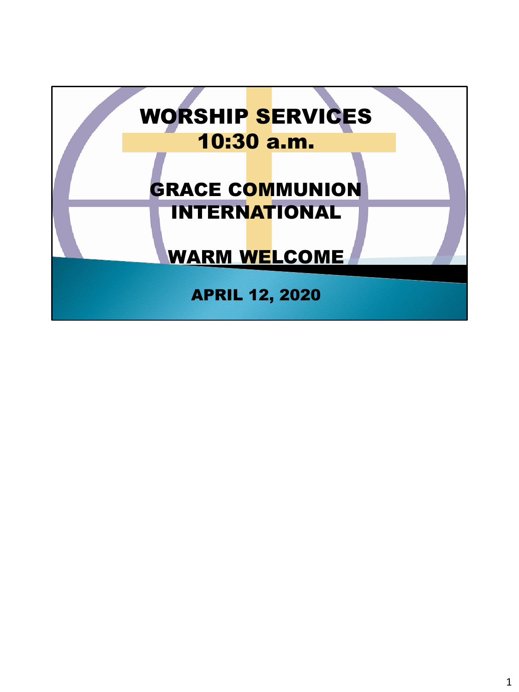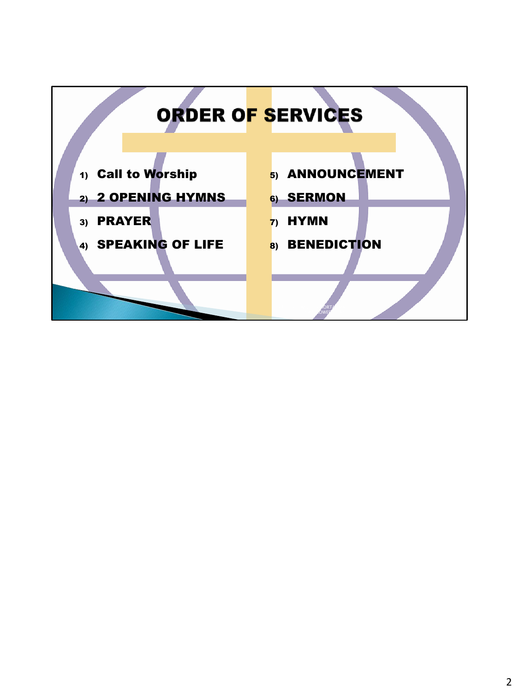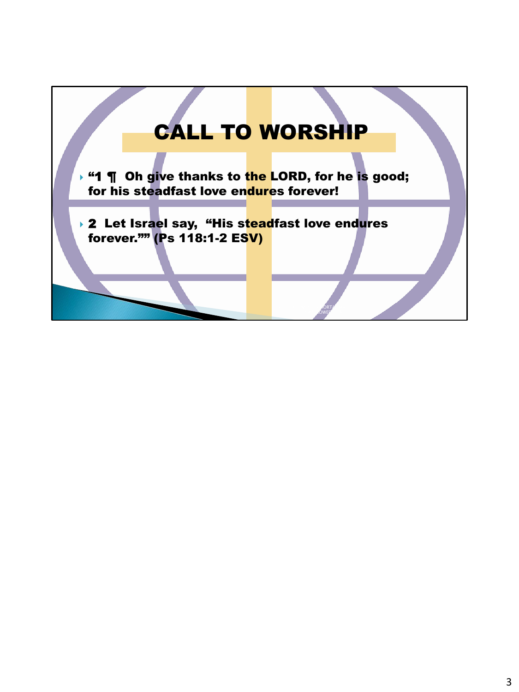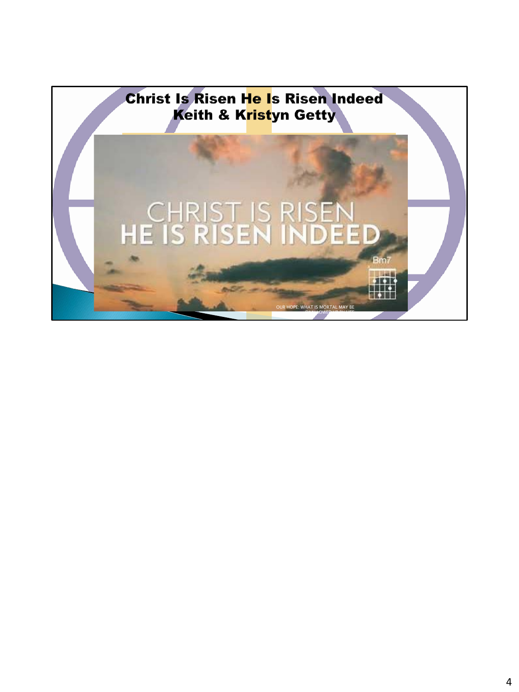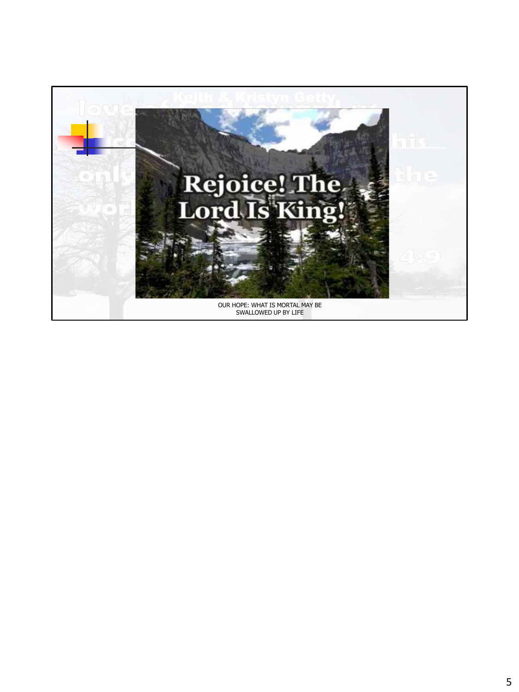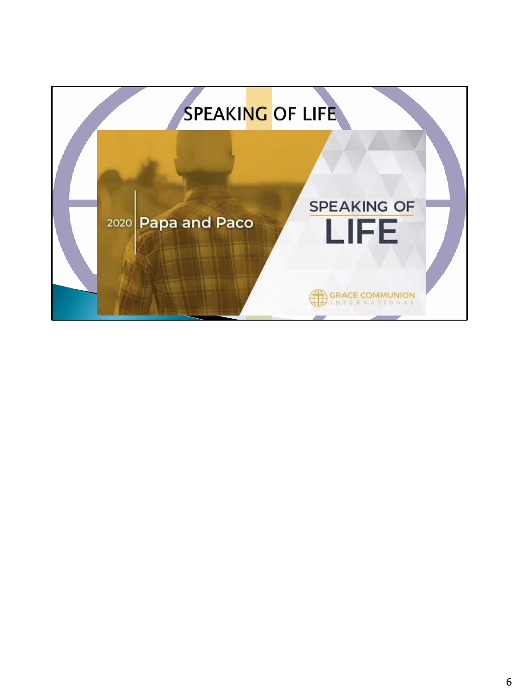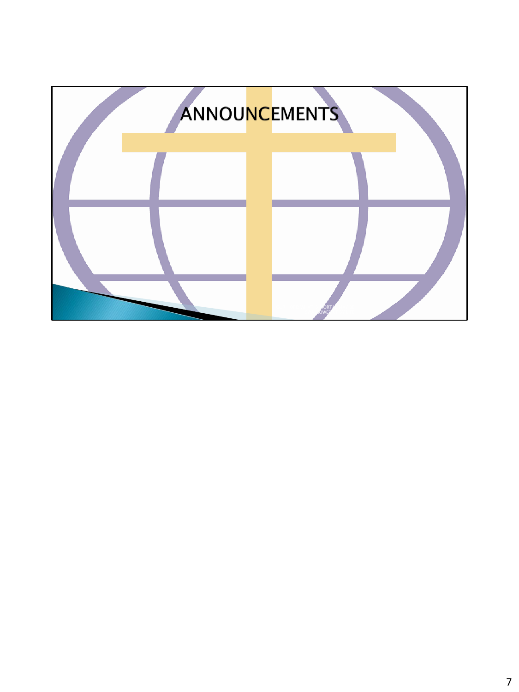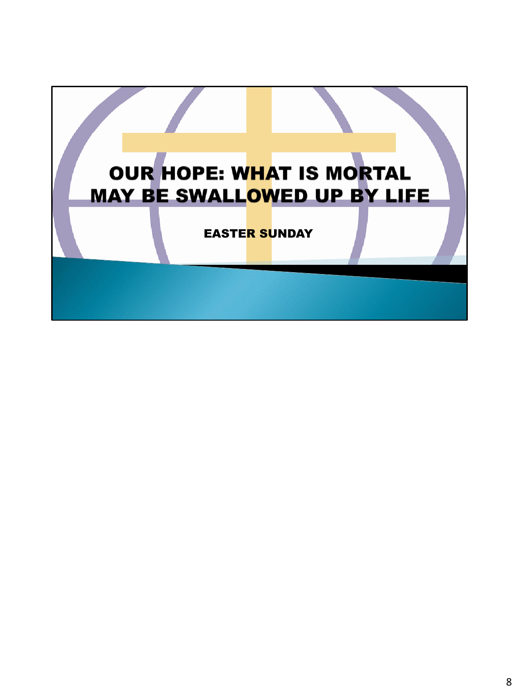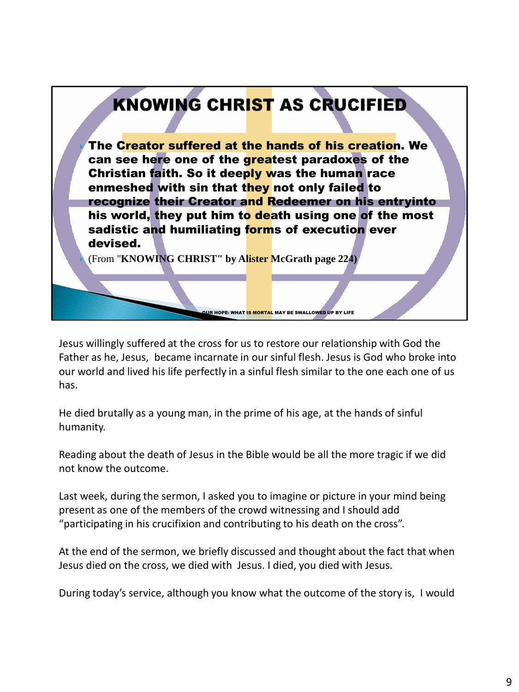

Jesus willingly suffered at the cross for us to restore our relationship with God the Father as he, Jesus, became incarnate in our sinful flesh. Jesus is God who broke into our world and lived his life perfectly in a sinful flesh similar to the one each one of us has.

He died brutally as a young man, in the prime of his age, at the hands of sinful humanity.

Reading about the death of Jesus in the Bible would be all the more tragic if we did not know the outcome.

Last week, during the sermon, I asked you to imagine or picture in your mind being present as one of the members of the crowd witnessing and I should add "participating in his crucifixion and contributing to his death on the cross".

At the end of the sermon, we briefly discussed and thought about the fact that when Jesus died on the cross, we died with Jesus. I died, you died with Jesus.

During today's service, although you know what the outcome of the story is, I would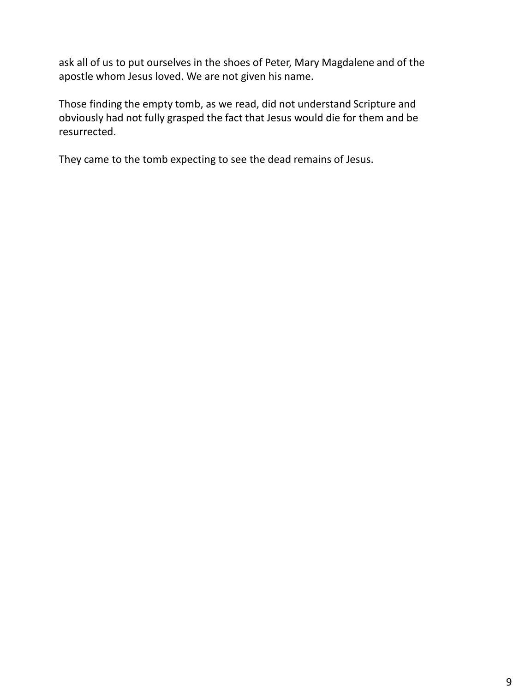ask all of us to put ourselves in the shoes of Peter, Mary Magdalene and of the apostle whom Jesus loved. We are not given his name.

Those finding the empty tomb, as we read, did not understand Scripture and obviously had not fully grasped the fact that Jesus would die for them and be resurrected.

They came to the tomb expecting to see the dead remains of Jesus.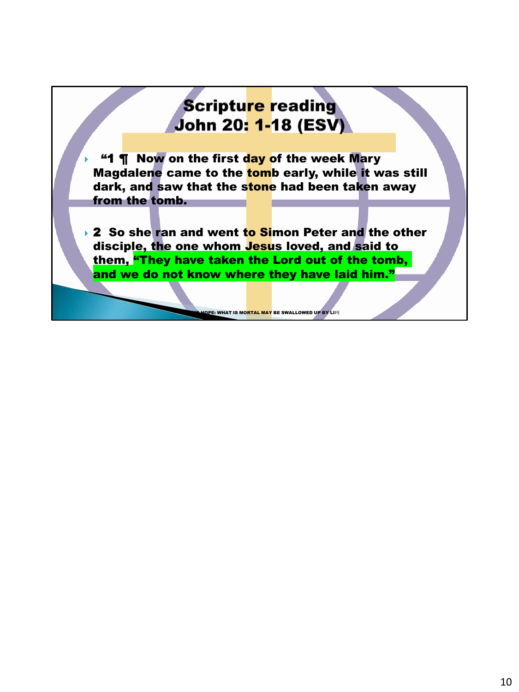## **Scripture reading** John 20: 1-18 (ESV)

"1 **T** Now on the first day of the week Mary Magdalene came to the tomb early, while it was still dark, and saw that the stone had been taken away from the tomb.

▸ 2 So she ran and went to Simon Peter and the other disciple, the one whom **Jesu**s loved, and said to them, "They have taken the Lord out of the tomb, and we do not know where they have laid him."

OPE: WHAT IS MO<mark>RTAL MAY</mark> BE SWALLOWED UP BY LIFE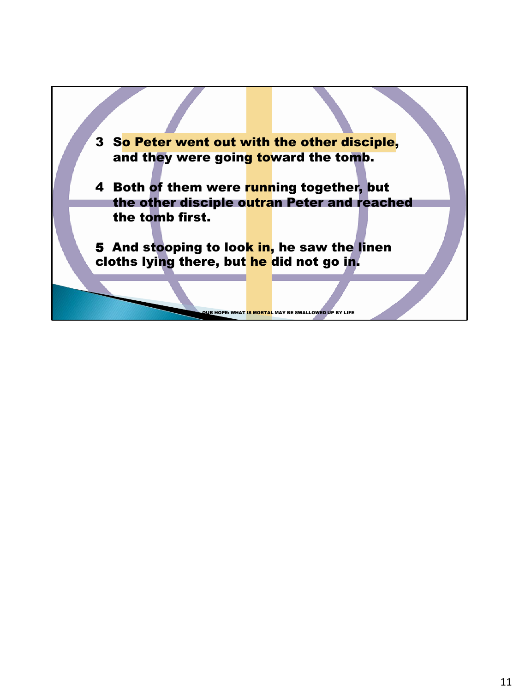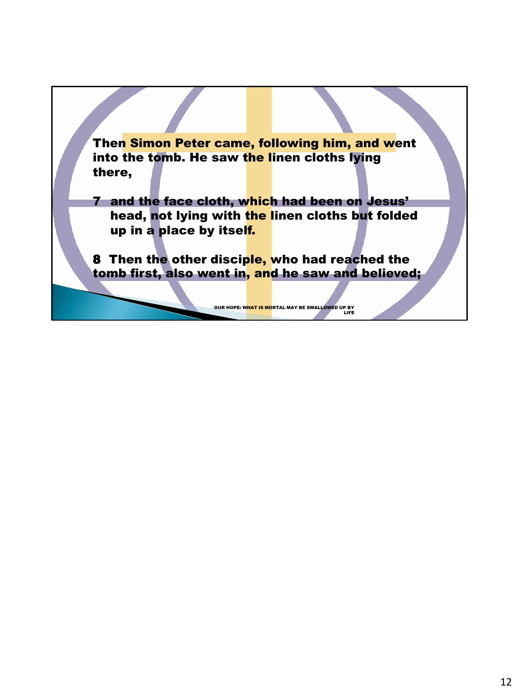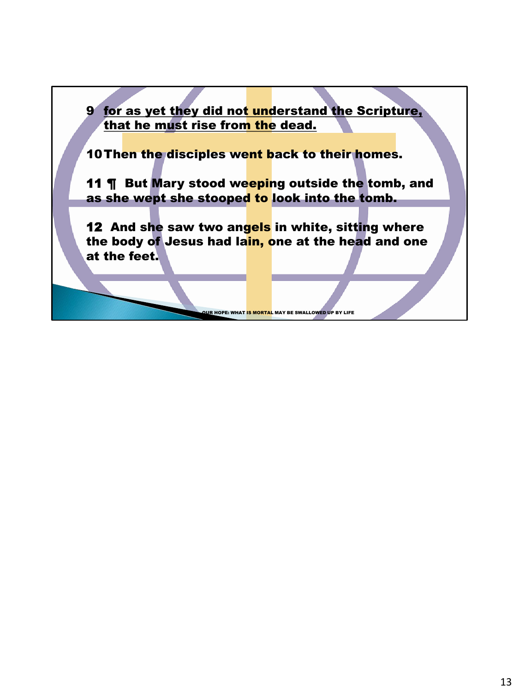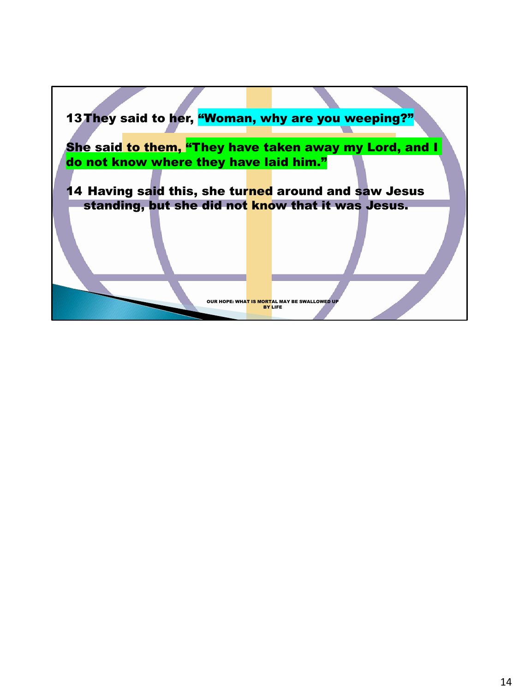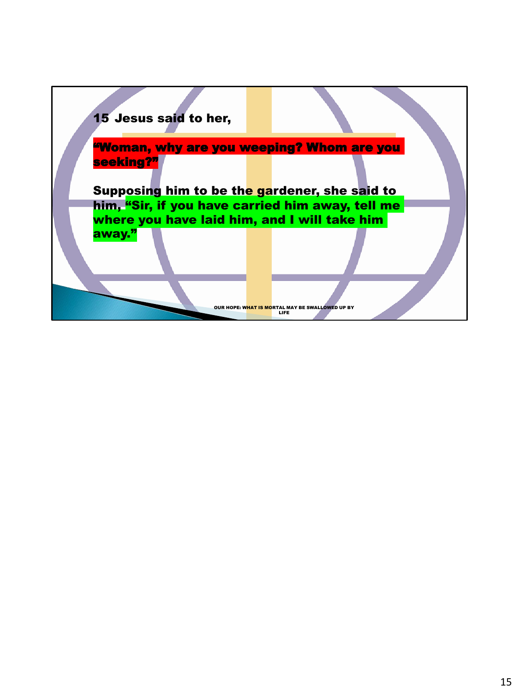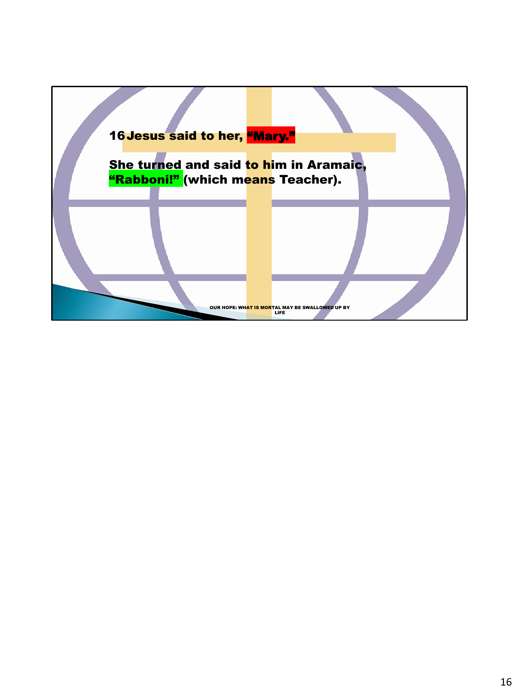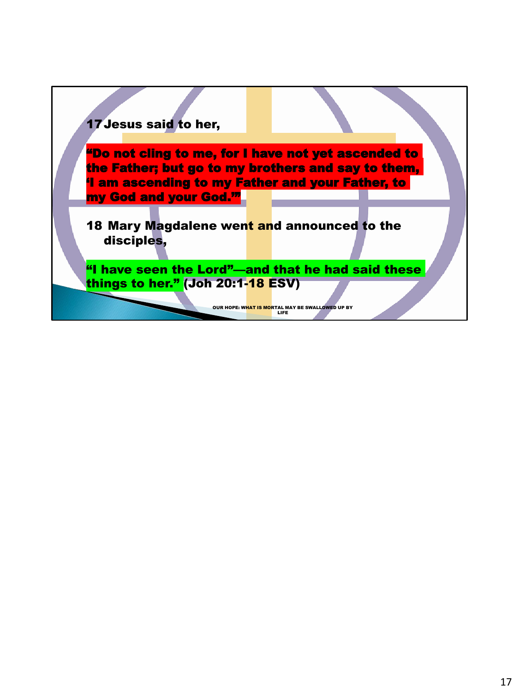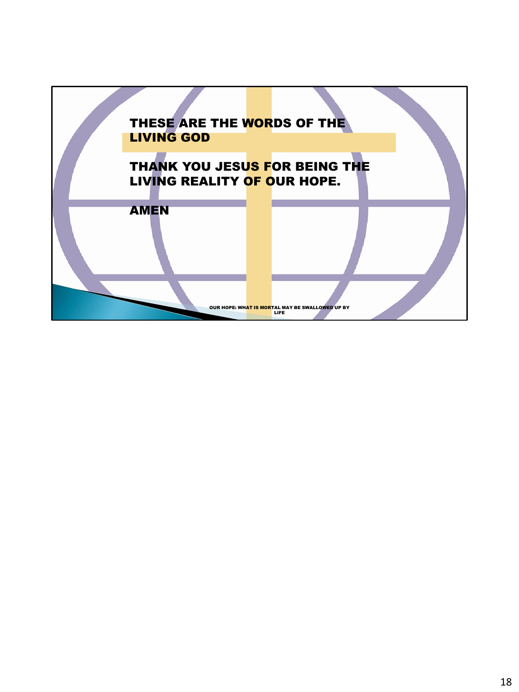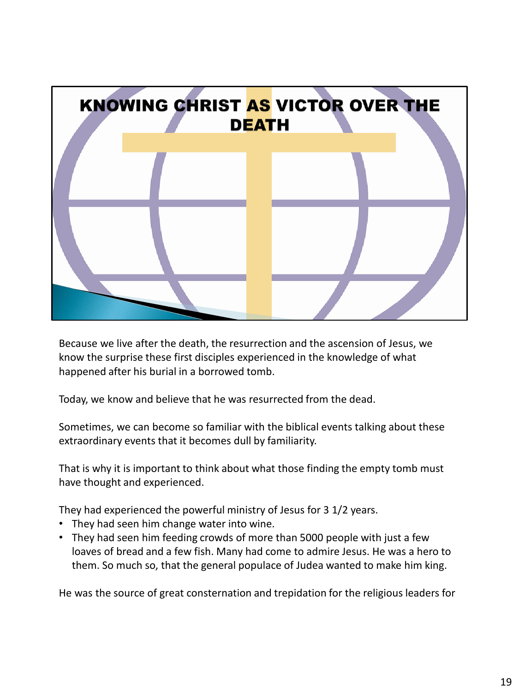

Because we live after the death, the resurrection and the ascension of Jesus, we know the surprise these first disciples experienced in the knowledge of what happened after his burial in a borrowed tomb.

Today, we know and believe that he was resurrected from the dead.

Sometimes, we can become so familiar with the biblical events talking about these extraordinary events that it becomes dull by familiarity.

That is why it is important to think about what those finding the empty tomb must have thought and experienced.

They had experienced the powerful ministry of Jesus for 3 1/2 years.

- They had seen him change water into wine.
- They had seen him feeding crowds of more than 5000 people with just a few loaves of bread and a few fish. Many had come to admire Jesus. He was a hero to them. So much so, that the general populace of Judea wanted to make him king.

He was the source of great consternation and trepidation for the religious leaders for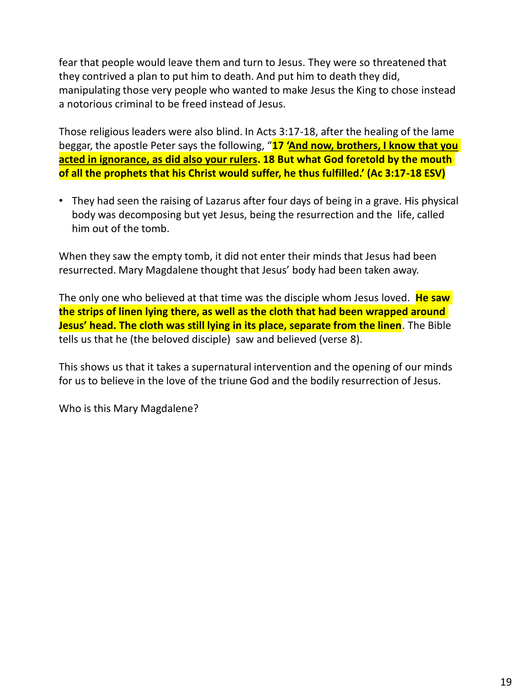fear that people would leave them and turn to Jesus. They were so threatened that they contrived a plan to put him to death. And put him to death they did, manipulating those very people who wanted to make Jesus the King to chose instead a notorious criminal to be freed instead of Jesus.

Those religious leaders were also blind. In Acts 3:17-18, after the healing of the lame beggar, the apostle Peter says the following, "**17 'And now, brothers, I know that you acted in ignorance, as did also your rulers. 18 But what God foretold by the mouth of all the prophets that his Christ would suffer, he thus fulfilled.' (Ac 3:17-18 ESV)**

• They had seen the raising of Lazarus after four days of being in a grave. His physical body was decomposing but yet Jesus, being the resurrection and the life, called him out of the tomb.

When they saw the empty tomb, it did not enter their minds that Jesus had been resurrected. Mary Magdalene thought that Jesus' body had been taken away.

The only one who believed at that time was the disciple whom Jesus loved. **He saw the strips of linen lying there, as well as the cloth that had been wrapped around Jesus' head. The cloth was still lying in its place, separate from the linen**. The Bible tells us that he (the beloved disciple) saw and believed (verse 8).

This shows us that it takes a supernatural intervention and the opening of our minds for us to believe in the love of the triune God and the bodily resurrection of Jesus.

Who is this Mary Magdalene?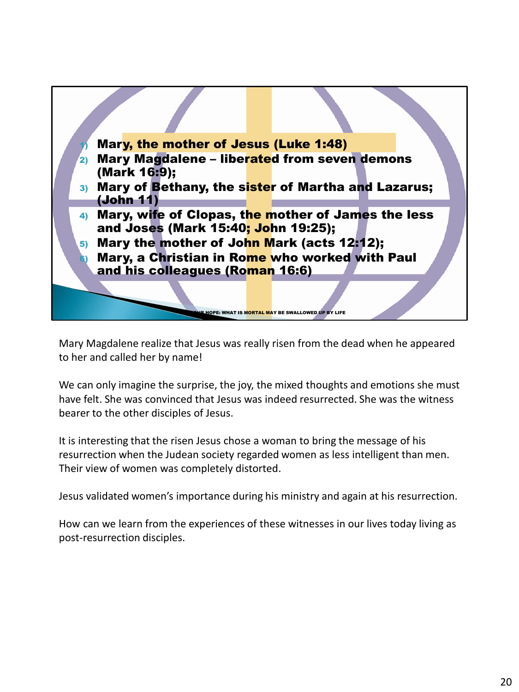

Mary Magdalene realize that Jesus was really risen from the dead when he appeared to her and called her by name!

We can only imagine the surprise, the joy, the mixed thoughts and emotions she must have felt. She was convinced that Jesus was indeed resurrected. She was the witness bearer to the other disciples of Jesus.

It is interesting that the risen Jesus chose a woman to bring the message of his resurrection when the Judean society regarded women as less intelligent than men. Their view of women was completely distorted.

Jesus validated women's importance during his ministry and again at his resurrection.

How can we learn from the experiences of these witnesses in our lives today living as post-resurrection disciples.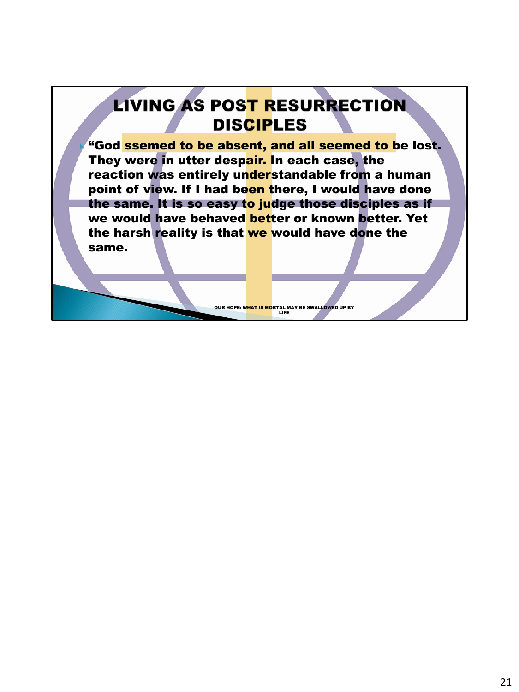## **LIVING AS POST RESURRECTION DISCIPLES**

"God ssemed to be absent, and all seemed to be lost. They were in utter despair. In each case, the reaction was entirely understandable from a human point of view. If I had been there, I would have done the same. It is so easy to judge those disciples as if we would have behaved better or known better. Yet the harsh reality is that we would have done the same.

OUR HOPE: W<mark>HAT IS MO</mark>RTAL MAY BE SWALLOWED UP BY<br>LIFE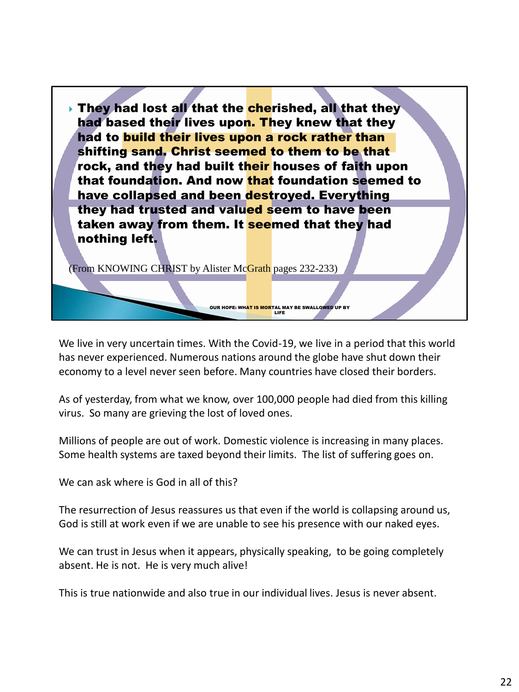

We live in very uncertain times. With the Covid-19, we live in a period that this world has never experienced. Numerous nations around the globe have shut down their economy to a level never seen before. Many countries have closed their borders.

As of yesterday, from what we know, over 100,000 people had died from this killing virus. So many are grieving the lost of loved ones.

Millions of people are out of work. Domestic violence is increasing in many places. Some health systems are taxed beyond their limits. The list of suffering goes on.

We can ask where is God in all of this?

The resurrection of Jesus reassures us that even if the world is collapsing around us, God is still at work even if we are unable to see his presence with our naked eyes.

We can trust in Jesus when it appears, physically speaking, to be going completely absent. He is not. He is very much alive!

This is true nationwide and also true in our individual lives. Jesus is never absent.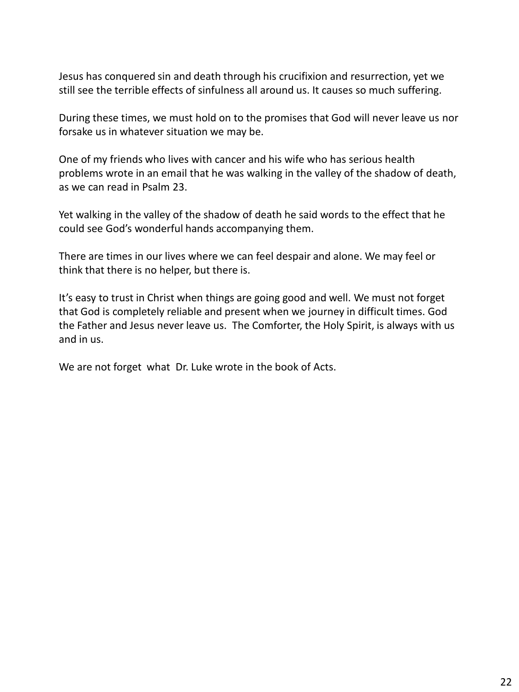Jesus has conquered sin and death through his crucifixion and resurrection, yet we still see the terrible effects of sinfulness all around us. It causes so much suffering.

During these times, we must hold on to the promises that God will never leave us nor forsake us in whatever situation we may be.

One of my friends who lives with cancer and his wife who has serious health problems wrote in an email that he was walking in the valley of the shadow of death, as we can read in Psalm 23.

Yet walking in the valley of the shadow of death he said words to the effect that he could see God's wonderful hands accompanying them.

There are times in our lives where we can feel despair and alone. We may feel or think that there is no helper, but there is.

It's easy to trust in Christ when things are going good and well. We must not forget that God is completely reliable and present when we journey in difficult times. God the Father and Jesus never leave us. The Comforter, the Holy Spirit, is always with us and in us.

We are not forget what Dr. Luke wrote in the book of Acts.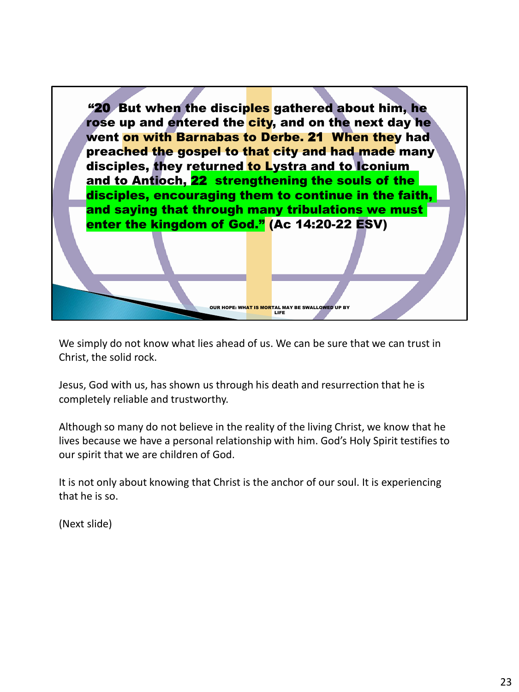

We simply do not know what lies ahead of us. We can be sure that we can trust in Christ, the solid rock.

Jesus, God with us, has shown us through his death and resurrection that he is completely reliable and trustworthy.

Although so many do not believe in the reality of the living Christ, we know that he lives because we have a personal relationship with him. God's Holy Spirit testifies to our spirit that we are children of God.

It is not only about knowing that Christ is the anchor of our soul. It is experiencing that he is so.

(Next slide)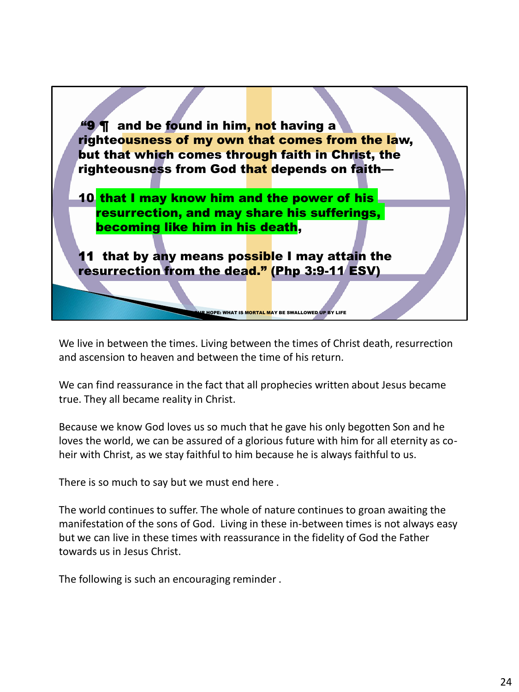

We live in between the times. Living between the times of Christ death, resurrection and ascension to heaven and between the time of his return.

We can find reassurance in the fact that all prophecies written about Jesus became true. They all became reality in Christ.

Because we know God loves us so much that he gave his only begotten Son and he loves the world, we can be assured of a glorious future with him for all eternity as coheir with Christ, as we stay faithful to him because he is always faithful to us.

There is so much to say but we must end here .

The world continues to suffer. The whole of nature continues to groan awaiting the manifestation of the sons of God. Living in these in-between times is not always easy but we can live in these times with reassurance in the fidelity of God the Father towards us in Jesus Christ.

The following is such an encouraging reminder .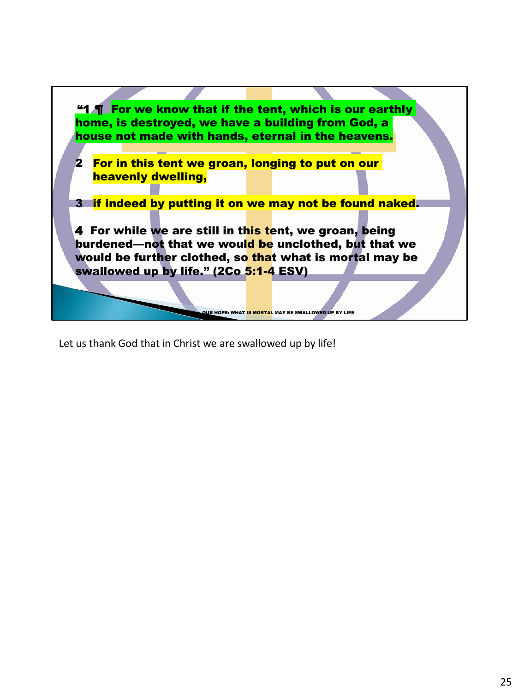

Let us thank God that in Christ we are swallowed up by life!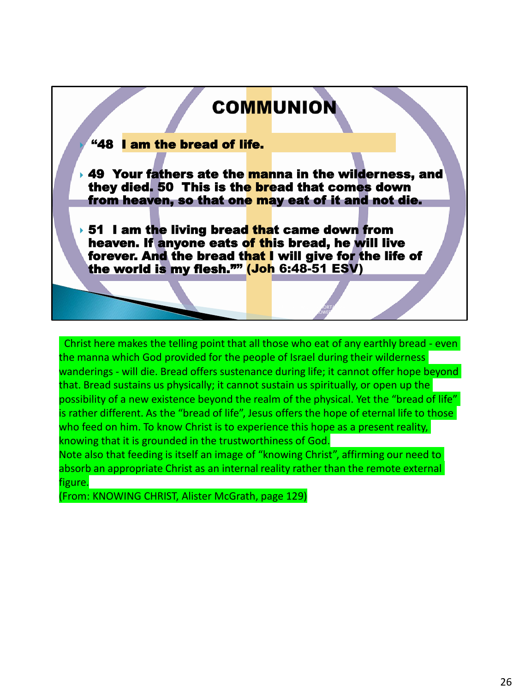## **COMMUNION**

## "48 I am the bread of life.

**49 Your fathers ate the manna in the wilderness, and** they died. 50 This is the bread that comes down from heaven, so that one may eat of it and not die.

 $\rightarrow$  51 I am the living bread that came down from heaven. If anyone eats of this bread, he will live forever. And the bread that I will give for the life of the world is my flesh."" (Joh 6:48-51 ESV)

Christ here makes the telling point that all those who eat of any earthly bread - even the manna which God provided for the people of Israel during their wilderness wanderings - will die. Bread offers sustenance during life; it cannot offer hope beyond that. Bread sustains us physically; it cannot sustain us spiritually, or open up the possibility of a new existence beyond the realm of the physical. Yet the "bread of life" is rather different. As the "bread of life", Jesus offers the hope of eternal life to those who feed on him. To know Christ is to experience this hope as a present reality, knowing that it is grounded in the trustworthiness of God.

OUR HOPE: WHAT IS MORTAL MAY BE **SWALLOWED** 

Note also that feeding is itself an image of "knowing Christ", affirming our need to absorb an appropriate Christ as an internal reality rather than the remote external figure.

(From: KNOWING CHRIST, Alister McGrath, page 129)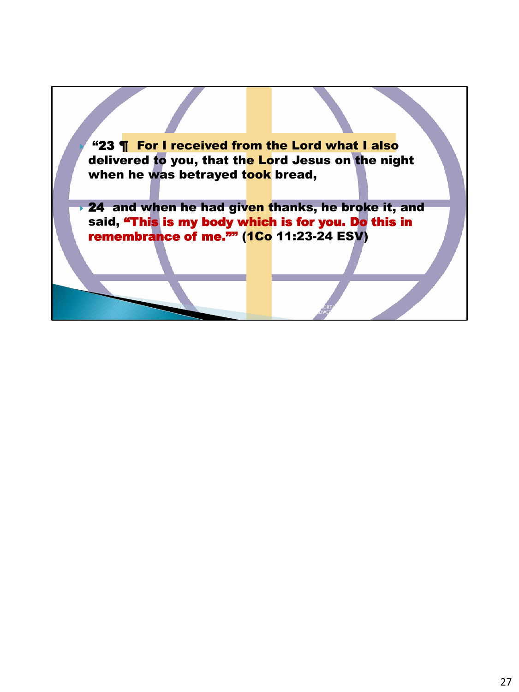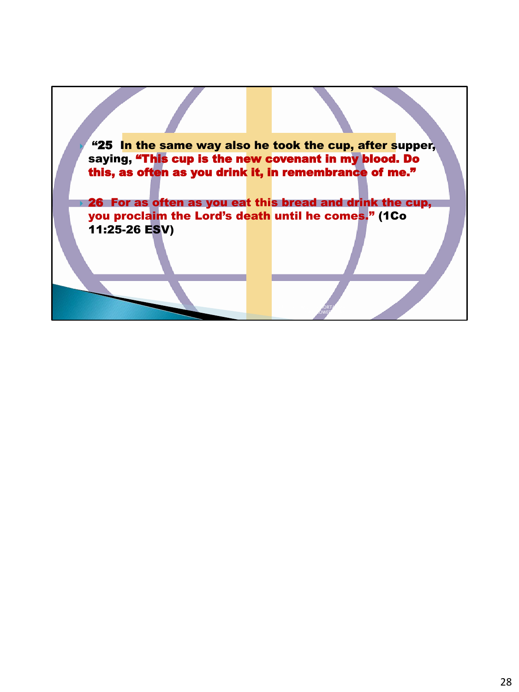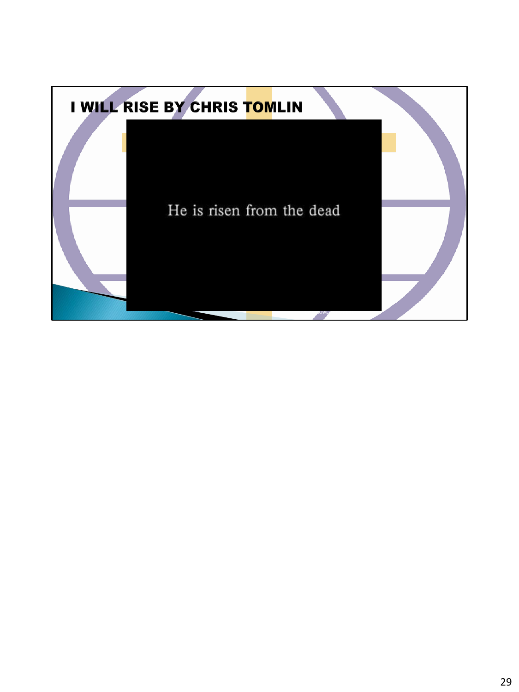